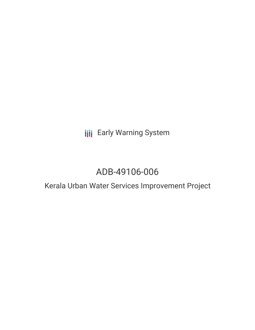**III** Early Warning System

# ADB-49106-006

## Kerala Urban Water Services Improvement Project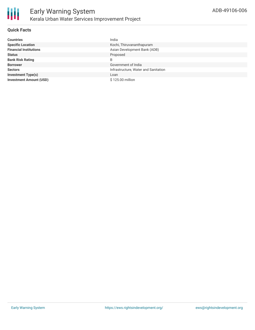

#### **Quick Facts**

| <b>Countries</b>               | India                                |
|--------------------------------|--------------------------------------|
| <b>Specific Location</b>       | Kochi, Thiruvananthapuram            |
| <b>Financial Institutions</b>  | Asian Development Bank (ADB)         |
| <b>Status</b>                  | Proposed                             |
| <b>Bank Risk Rating</b>        | B                                    |
| <b>Borrower</b>                | Government of India                  |
| <b>Sectors</b>                 | Infrastructure, Water and Sanitation |
| <b>Investment Type(s)</b>      | Loan                                 |
| <b>Investment Amount (USD)</b> | \$125.00 million                     |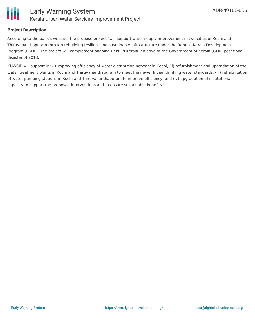

#### **Project Description**

According to the bank's website, the propose project "will support water supply improvement in two cities of Kochi and Thiruvananthapuram through rebuilding resilient and sustainable infrastructure under the Rebuild Kerala Development Program (RKDP). The project will complement ongoing Rebuild Kerala Initiative of the Government of Kerala (GOK) post flood disaster of 2018.

KUWSIP will support in: (i) improving efficiency of water distribution network in Kochi, (ii) refurbishment and upgradation of the water treatment plants in Kochi and Thiruvananthapuram to meet the newer Indian drinking water standards, (iii) rehabilitation of water pumping stations in Kochi and Thiruvananthapuram to improve efficiency, and (iv) upgradation of institutional capacity to support the proposed interventions and to ensure sustainable benefits."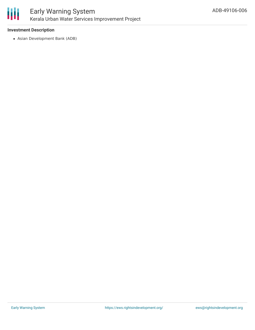

#### **Investment Description**

Asian Development Bank (ADB)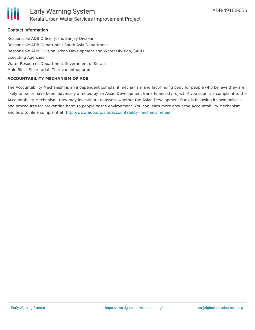

#### **Contact Information**

Responsible ADB Officer Joshi, Sanjay Divakar Responsible ADB Department South Asia Department Responsible ADB Division Urban Development and Water Division, SARD Executing Agencies Water Resources Department,Government of Kerala Main Block,Secretariat, Thiruvananthapuram

#### **ACCOUNTABILITY MECHANISM OF ADB**

The Accountability Mechanism is an independent complaint mechanism and fact-finding body for people who believe they are likely to be, or have been, adversely affected by an Asian Development Bank-financed project. If you submit a complaint to the Accountability Mechanism, they may investigate to assess whether the Asian Development Bank is following its own policies and procedures for preventing harm to people or the environment. You can learn more about the Accountability Mechanism and how to file a complaint at: <http://www.adb.org/site/accountability-mechanism/main>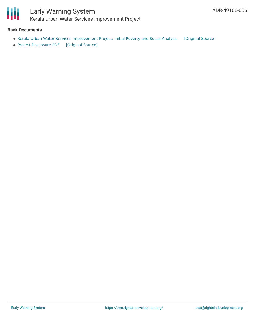

### Early Warning System Kerala Urban Water Services Improvement Project

#### **Bank Documents**

- Kerala Urban Water Services [Improvement](https://ewsdata.rightsindevelopment.org/files/documents/06/ADB-49106-006_MzOSZ8O.pdf) Project: Initial Poverty and Social Analysis [\[Original](https://www.adb.org/projects/documents/ind-49106-006-ipsa) Source]
- Project [Disclosure](https://ewsdata.rightsindevelopment.org/files/documents/06/ADB-49106-006.pdf) PDF [\[Original](https://www.adb.org/printpdf/projects/49106-006/main) Source]